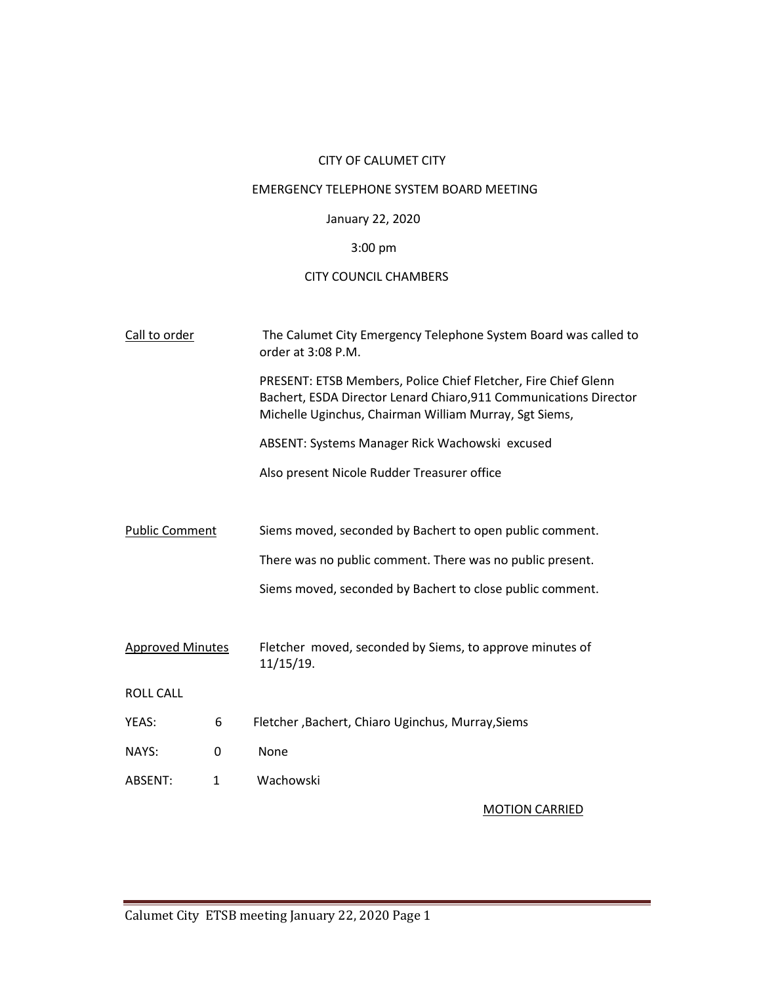## CITY OF CALUMET CITY

## EMERGENCY TELEPHONE SYSTEM BOARD MEETING

# January 22, 2020

# 3:00 pm

## CITY COUNCIL CHAMBERS

| Call to order           |              | The Calumet City Emergency Telephone System Board was called to<br>order at 3:08 P.M.                                                                                                         |  |  |
|-------------------------|--------------|-----------------------------------------------------------------------------------------------------------------------------------------------------------------------------------------------|--|--|
|                         |              | PRESENT: ETSB Members, Police Chief Fletcher, Fire Chief Glenn<br>Bachert, ESDA Director Lenard Chiaro, 911 Communications Director<br>Michelle Uginchus, Chairman William Murray, Sgt Siems, |  |  |
|                         |              | ABSENT: Systems Manager Rick Wachowski excused                                                                                                                                                |  |  |
|                         |              | Also present Nicole Rudder Treasurer office                                                                                                                                                   |  |  |
|                         |              |                                                                                                                                                                                               |  |  |
| <b>Public Comment</b>   |              | Siems moved, seconded by Bachert to open public comment.                                                                                                                                      |  |  |
|                         |              | There was no public comment. There was no public present.                                                                                                                                     |  |  |
|                         |              | Siems moved, seconded by Bachert to close public comment.                                                                                                                                     |  |  |
|                         |              |                                                                                                                                                                                               |  |  |
| <b>Approved Minutes</b> |              | Fletcher moved, seconded by Siems, to approve minutes of<br>11/15/19.                                                                                                                         |  |  |
| <b>ROLL CALL</b>        |              |                                                                                                                                                                                               |  |  |
| YEAS:                   | 6            | Fletcher, Bachert, Chiaro Uginchus, Murray, Siems                                                                                                                                             |  |  |
| NAYS:                   | 0            | None                                                                                                                                                                                          |  |  |
| ABSENT:                 | $\mathbf{1}$ | Wachowski                                                                                                                                                                                     |  |  |
|                         |              | <b>MOTION CARRIED</b>                                                                                                                                                                         |  |  |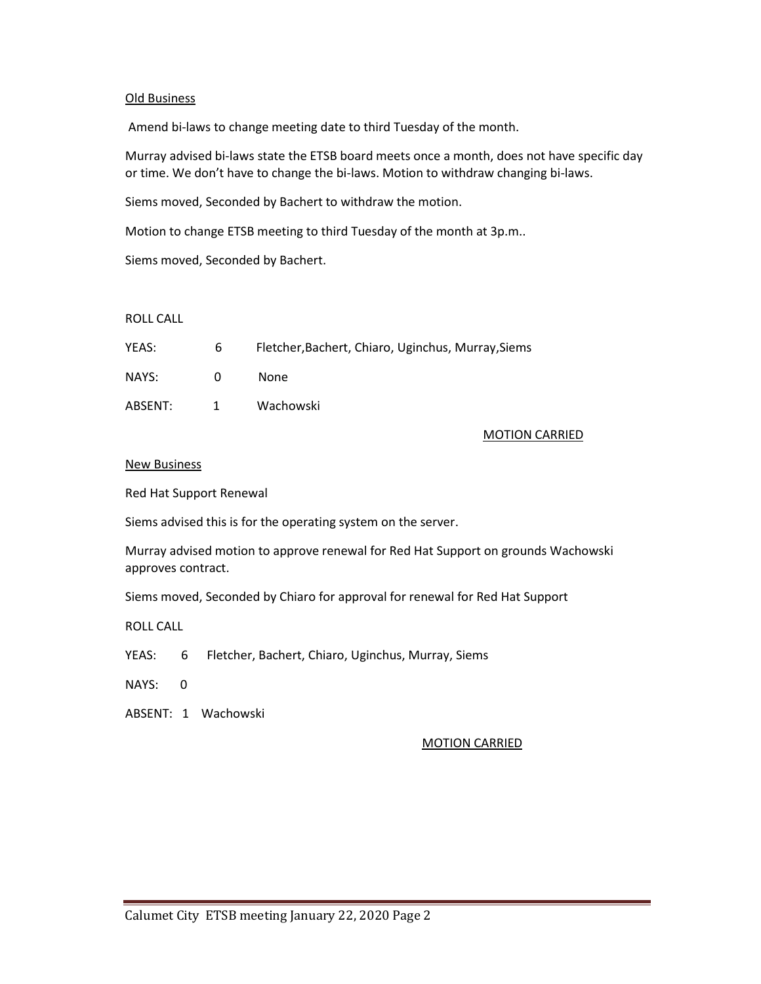### Old Business

Amend bi-laws to change meeting date to third Tuesday of the month.

Murray advised bi-laws state the ETSB board meets once a month, does not have specific day or time. We don't have to change the bi-laws. Motion to withdraw changing bi-laws.

Siems moved, Seconded by Bachert to withdraw the motion.

Motion to change ETSB meeting to third Tuesday of the month at 3p.m..

Siems moved, Seconded by Bachert.

#### ROLL CALL

| YEAS:   | 6                | Fletcher, Bachert, Chiaro, Uginchus, Murray, Siems |
|---------|------------------|----------------------------------------------------|
| NAYS:   | $\mathbf{U}$     | None.                                              |
| ABSENT: | $\blacksquare$ 1 | Wachowski                                          |

### MOTION CARRIED

### New Business

Red Hat Support Renewal

Siems advised this is for the operating system on the server.

Murray advised motion to approve renewal for Red Hat Support on grounds Wachowski approves contract.

Siems moved, Seconded by Chiaro for approval for renewal for Red Hat Support

ROLL CALL

YEAS: 6 Fletcher, Bachert, Chiaro, Uginchus, Murray, Siems

NAYS: 0

ABSENT: 1 Wachowski

## MOTION CARRIED